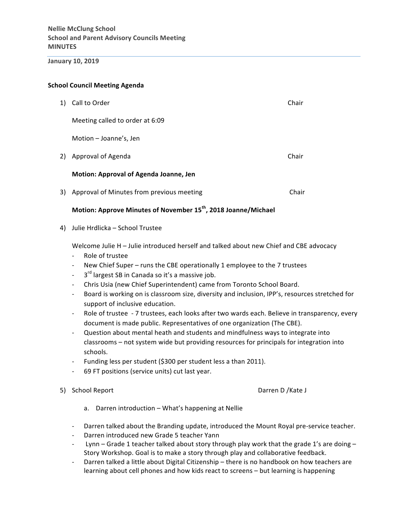# **January 10, 2019**

# **School Council Meeting Agenda**

| 1)  | Call to Order                             | Chair |
|-----|-------------------------------------------|-------|
|     | Meeting called to order at 6:09           |       |
|     | Motion - Joanne's, Jen                    |       |
| 2). | Approval of Agenda                        | Chair |
|     | Motion: Approval of Agenda Joanne, Jen    |       |
| 3)  | Approval of Minutes from previous meeting | Chair |

# **Motion: Approve Minutes of November 15<sup>th</sup>, 2018 Joanne/Michael**

4) Julie Hrdlicka - School Trustee

Welcome Julie H - Julie introduced herself and talked about new Chief and CBE advocacy

- Role of trustee
- New Chief Super runs the CBE operationally 1 employee to the 7 trustees
- $-$  3<sup>rd</sup> largest SB in Canada so it's a massive job.
- Chris Usia (new Chief Superintendent) came from Toronto School Board.
- Board is working on is classroom size, diversity and inclusion, IPP's, resources stretched for support of inclusive education.
- Role of trustee 7 trustees, each looks after two wards each. Believe in transparency, every document is made public. Representatives of one organization (The CBE).
- Question about mental heath and students and mindfulness ways to integrate into classrooms – not system wide but providing resources for principals for integration into schools.
- Funding less per student (\$300 per student less a than 2011).
- 69 FT positions (service units) cut last year.
- 5) School Report **Discussed Contract Contract Contract Contract Contract Contract Contract Contract Contract Contract Contract Contract Contract Contract Contract Contract Contract Contract Contract Contract Contract Contr**

- a. Darren introduction What's happening at Nellie
- Darren talked about the Branding update, introduced the Mount Royal pre-service teacher.
- Darren introduced new Grade 5 teacher Yann
- Lynn Grade 1 teacher talked about story through play work that the grade 1's are doing Story Workshop. Goal is to make a story through play and collaborative feedback.
- Darren talked a little about Digital Citizenship there is no handbook on how teachers are learning about cell phones and how kids react to screens - but learning is happening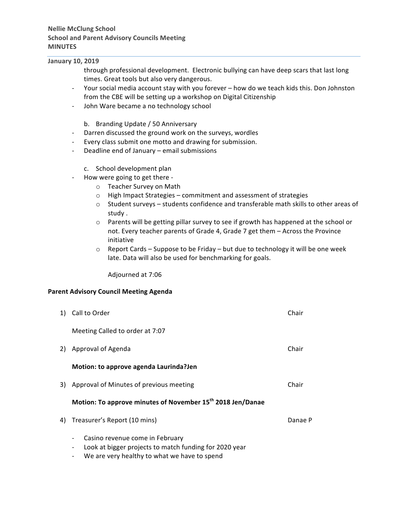# **January 10, 2019**

- through professional development. Electronic bullying can have deep scars that last long times. Great tools but also very dangerous.
- Your social media account stay with you forever how do we teach kids this. Don Johnston from the CBE will be setting up a workshop on Digital Citizenship
- John Ware became a no technology school
	- b. Branding Update / 50 Anniversary
- Darren discussed the ground work on the surveys, wordles
- Every class submit one motto and drawing for submission.
- Deadline end of January email submissions
	- c. School development plan
- How were going to get there
	- o Teacher Survey on Math
	- $o$  High Impact Strategies commitment and assessment of strategies
	- $\circ$  Student surveys students confidence and transferable math skills to other areas of study.
	- $\circ$  Parents will be getting pillar survey to see if growth has happened at the school or not. Every teacher parents of Grade 4, Grade 7 get them - Across the Province initiative
	- $\circ$  Report Cards Suppose to be Friday but due to technology it will be one week late. Data will also be used for benchmarking for goals.

Adjourned at 7:06 

#### **Parent Advisory Council Meeting Agenda**

|      | 1) Call to Order                                                                                                                                                      | Chair   |
|------|-----------------------------------------------------------------------------------------------------------------------------------------------------------------------|---------|
|      | Meeting Called to order at 7:07                                                                                                                                       |         |
| 2) - | Approval of Agenda                                                                                                                                                    | Chair   |
|      | Motion: to approve agenda Laurinda?Jen                                                                                                                                |         |
|      | 3) Approval of Minutes of previous meeting                                                                                                                            | Chair   |
|      | Motion: To approve minutes of November 15 <sup>th</sup> 2018 Jen/Danae                                                                                                |         |
| 4)   | Treasurer's Report (10 mins)                                                                                                                                          | Danae P |
|      | Casino revenue come in February<br>$\overline{\phantom{a}}$<br>Look at bigger projects to match funding for 2020 year<br>We are very healthy to what we have to spend |         |